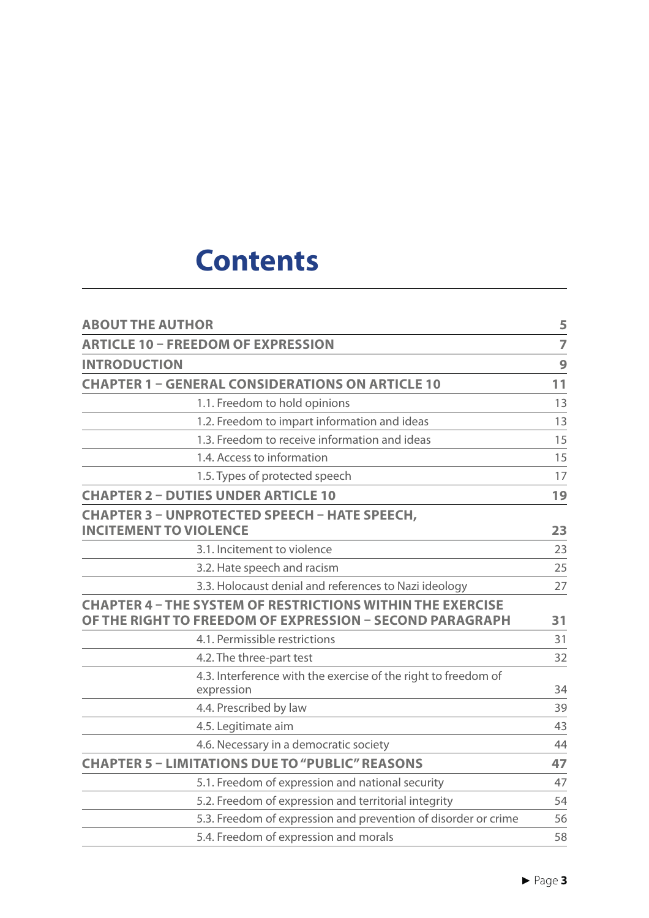## **Contents**

| <b>ABOUT THE AUTHOR</b>                                                                                                       | 5              |
|-------------------------------------------------------------------------------------------------------------------------------|----------------|
| <b>ARTICLE 10 - FREEDOM OF EXPRESSION</b>                                                                                     | $\overline{7}$ |
| <b>INTRODUCTION</b>                                                                                                           | 9              |
| <b>CHAPTER 1 - GENERAL CONSIDERATIONS ON ARTICLE 10</b>                                                                       | 11             |
| 1.1. Freedom to hold opinions                                                                                                 | 13             |
| 1.2. Freedom to impart information and ideas                                                                                  | 13             |
| 1.3. Freedom to receive information and ideas                                                                                 | 15             |
| 1.4. Access to information                                                                                                    | 15             |
| 1.5. Types of protected speech                                                                                                | 17             |
| <b>CHAPTER 2 - DUTIES UNDER ARTICLE 10</b>                                                                                    | 19             |
| <b>CHAPTER 3 - UNPROTECTED SPEECH - HATE SPEECH,</b><br><b>INCITEMENT TO VIOLENCE</b>                                         | 23             |
| 3.1. Incitement to violence                                                                                                   | 23             |
| 3.2. Hate speech and racism                                                                                                   | 25             |
| 3.3. Holocaust denial and references to Nazi ideology                                                                         | 27             |
| <b>CHAPTER 4 - THE SYSTEM OF RESTRICTIONS WITHIN THE EXERCISE</b><br>OF THE RIGHT TO FREEDOM OF EXPRESSION - SECOND PARAGRAPH | 31             |
| 4.1. Permissible restrictions                                                                                                 | 31             |
| 4.2. The three-part test                                                                                                      | 32             |
| 4.3. Interference with the exercise of the right to freedom of<br>expression                                                  | 34             |
| 4.4. Prescribed by law                                                                                                        | 39             |
| 4.5. Legitimate aim                                                                                                           | 43             |
| 4.6. Necessary in a democratic society                                                                                        | 44             |
| <b>CHAPTER 5 - LIMITATIONS DUE TO "PUBLIC" REASONS</b>                                                                        | 47             |
| 5.1. Freedom of expression and national security                                                                              | 47             |
| 5.2. Freedom of expression and territorial integrity                                                                          | 54             |
| 5.3. Freedom of expression and prevention of disorder or crime                                                                | 56             |
| 5.4. Freedom of expression and morals                                                                                         | 58             |